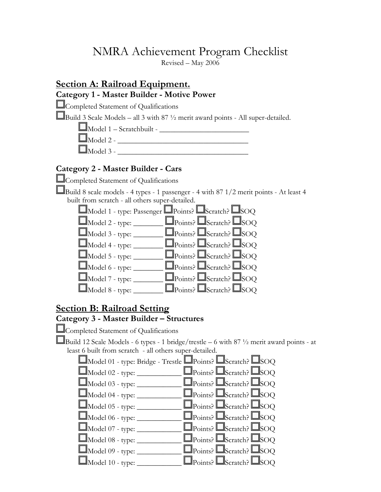# NMRA Achievement Program Checklist

Revised – May 2006

## Section A: Railroad Equipment. Category 1 - Master Builder - Motive Power

Completed Statement of Qualifications

Build 3 Scale Models – all 3 with  $87\frac{1}{2}$  merit award points - All super-detailed.

 $\Box$ Model 1 – Scratchbuilt -

 $\Box$ Model 2 -  $\Box$ 

Model 3 - \_\_\_\_\_\_\_\_\_\_\_\_\_\_\_\_\_\_\_\_\_\_\_\_\_\_\_\_\_\_\_\_\_\_\_

#### Category 2 - Master Builder - Cars

Completed Statement of Qualifications

Build 8 scale models - 4 types - 1 passenger - 4 with 87 1/2 merit points - At least 4 built from scratch - all others super-detailed.

- $\Box$ Model 1 type: Passenger  $\Box$ Points?  $\Box$ Scratch?  $\Box$ SOQ  $\Box$ Model 2 - type:  $\Box$  $\Box$ Points?  $\Box$ Scratch?  $\Box$ SOQ
- $\Box$ Model 3 type:  $\Box$  $\Box$ Points?  $\Box$ Scratch?  $\Box$ SOQ
- $\Box$ Model 4 type:  $\Box$ Points?  $\Box$ Scratch?  $\Box$ SOQ
- $\Box$ Model 5 type:  $\Box$  $\Box$ Points?  $\Box$ Scratch?  $\Box$ SOQ
- $\Box$ Model 6 type:  $\Box$  $\Box$ Points?  $\Box$ Scratch?  $\Box$ SOQ
- $\Box$ Model 7 type:  $\Box$  $\Box$ Points?  $\Box$ Scratch?  $\Box$ SOQ

| $\Box$ Model 8 - type: |  | $\Box$ Points? $\Box$ Scratch? $\Box$ SOQ |  |
|------------------------|--|-------------------------------------------|--|
|------------------------|--|-------------------------------------------|--|

## Section B: Railroad Setting

### Category 3 - Master Builder – Structures

Completed Statement of Qualifications

Build 12 Scale Models - 6 types - 1 bridge/trestle – 6 with 87  $\frac{1}{2}$  merit award points - at least 6 built from scratch - all others super-detailed.

|                                | $\Box$ Model 01 - type: Bridge - Trestle $\Box$ Points? $\Box$ Scratch? $\Box$ SOQ |  |
|--------------------------------|------------------------------------------------------------------------------------|--|
| $\Box$ Model 02 - type: $\Box$ | $\Box$ Points? $\Box$ Scratch? $\Box$ SOQ                                          |  |
| $\Box$ Model 03 - type: _      | $\Box$ Points? $\Box$ Scratch? $\Box$ SOQ                                          |  |
| $\Box$ Model 04 - type: $\Box$ | $\Box$ Points? $\Box$ Scratch? $\Box$ SOQ                                          |  |
| $\Box$ Model 05 - type: $\Box$ | $\Box$ Points? $\Box$ Scratch? $\Box$ SOQ                                          |  |
| $\Box$ Model 06 - type: $\Box$ | $\Box$ Points? $\Box$ Scratch? $\Box$ SOQ                                          |  |
| $\Box$ Model 07 - type: _      | $\Box$ Points? $\Box$ Scratch? $\Box$ SOQ                                          |  |
| $\Box$ Model 08 - type: $\Box$ | $\Box$ Points? $\Box$ Scratch? $\Box$ SOQ                                          |  |
| $\Box$ Model 09 - type: $\Box$ | $\Box$ Points? $\Box$ Scratch? $\Box$ SOQ                                          |  |
| $\Box$ Model 10 - type: _      | $\Box$ Points? $\Box$ Scratch? $\Box$ SOQ                                          |  |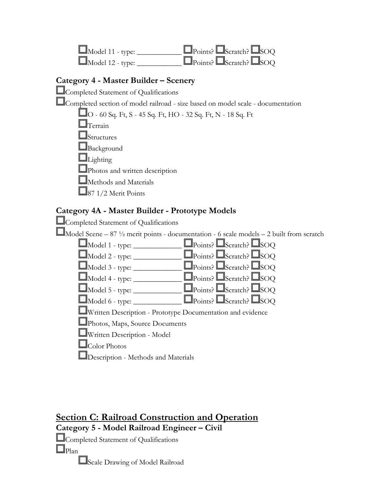| $\Box$ Model 11 - type:          | $\Box_{\text{Points}}$ $\Box_{\text{Scratch}}$ $\Box_{\text{SOQ}}$ |
|----------------------------------|--------------------------------------------------------------------|
| $\Box_{\text{Model 12 - type:}}$ | $\Box$ Points? $\Box$ Scratch? $\Box$ SOQ                          |

### Category 4 - Master Builder – Scenery

Completed Statement of Qualifications

Completed section of model railroad - size based on model scale - documentation

| □O - 60 Sq. Ft, S - 45 Sq. Ft, HO - 32 Sq. Ft, N - 18 Sq. Ft |
|--------------------------------------------------------------|
| $\Box$ Terrain                                               |
| $\Box$ Structures                                            |
| $\Box$ Background                                            |
| $\Box$ Lighting                                              |
| Photos and written description                               |
| Methods and Materials                                        |
| $\Box$ 87 1/2 Merit Points                                   |
|                                                              |

## Category 4A - Master Builder - Prototype Models



Section C: Railroad Construction and Operation Category 5 - Model Railroad Engineer – Civil Completed Statement of Qualifications  $\square_{\text{Plan}}$ Scale Drawing of Model Railroad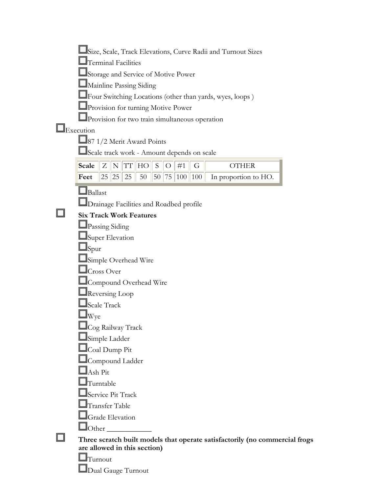| Size, Scale, Track Elevations, Curve Radii and Turnout Sizes                                                                                       |
|----------------------------------------------------------------------------------------------------------------------------------------------------|
| Terminal Facilities                                                                                                                                |
| Storage and Service of Motive Power                                                                                                                |
| Mainline Passing Siding                                                                                                                            |
| Four Switching Locations (other than yards, wyes, loops)                                                                                           |
| Provision for turning Motive Power                                                                                                                 |
| Provision for two train simultaneous operation                                                                                                     |
| Execution                                                                                                                                          |
| 87 1/2 Merit Award Points                                                                                                                          |
| Scale track work - Amount depends on scale                                                                                                         |
| $\ensuremath{\mathcal{T}}\ensuremath{\mathcal{T}}$<br><b>Scale</b><br>${\bf Z}$<br>#1<br>N<br>HO<br>$\mathbf S$<br>$\bigcirc$<br>G<br><b>OTHER</b> |
| 25<br>Feet<br> 25 <br>25<br>50<br>50<br> 75 <br> 100 <br>100<br>In proportion to HO.                                                               |
| $\Box$ Ballast                                                                                                                                     |
| Drainage Facilities and Roadbed profile                                                                                                            |
| <b>Six Track Work Features</b>                                                                                                                     |
| Passing Siding                                                                                                                                     |
| Super Elevation                                                                                                                                    |
| lSpur                                                                                                                                              |
| Simple Overhead Wire                                                                                                                               |
| Cross Over                                                                                                                                         |
| Compound Overhead Wire                                                                                                                             |
| Reversing Loop                                                                                                                                     |
| Scale Track                                                                                                                                        |
| Wye                                                                                                                                                |
| Cog Railway Track                                                                                                                                  |
| Simple Ladder                                                                                                                                      |
| Coal Dump Pit                                                                                                                                      |
| Compound Ladder                                                                                                                                    |
| $\mathbb{I}$ Ash Pit                                                                                                                               |
| Turntable                                                                                                                                          |
| Service Pit Track                                                                                                                                  |
| $\mathbb I$ Transfer Table                                                                                                                         |
| $\blacksquare$ Grade Elevation                                                                                                                     |
| Other                                                                                                                                              |
| Three scratch built models that operate satisfactorily (no commercial frogs                                                                        |
| are allowed in this section)                                                                                                                       |
| l∏urnout                                                                                                                                           |
| Dual Gauge Turnout                                                                                                                                 |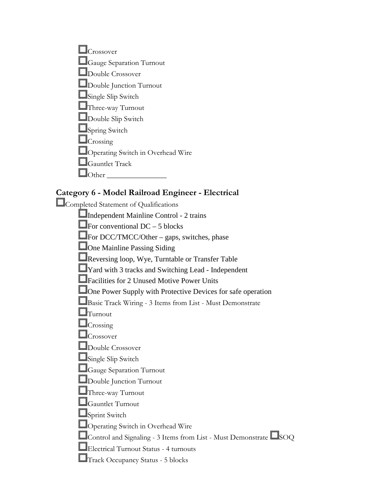| Crossover                                |
|------------------------------------------|
| $\Box$ Gauge Separation Turnout          |
| $\Box$ Double Crossover                  |
| $\Box$ Double Junction Turnout           |
| Single Slip Switch                       |
| Three-way Turnout                        |
| Double Slip Switch                       |
| Spring Switch                            |
| $\Box$ Crossing                          |
| $\Box$ Operating Switch in Overhead Wire |
| $\Box$ Gauntlet Track                    |
| her                                      |

#### Category 6 - Model Railroad Engineer - Electrical

Completed Statement of Qualifications

Independent Mainline Control - 2 trains

 $\Box$  For conventional DC – 5 blocks

 $\Box$ For DCC/TMCC/Other – gaps, switches, phase

**One Mainline Passing Siding** 

Reversing loop, Wye, Turntable or Transfer Table

**T**Yard with 3 tracks and Switching Lead - Independent

**Example 3 Exercise Start** Power Units

**One Power Supply with Protective Devices for safe operation** 

Basic Track Wiring - 3 Items from List - Must Demonstrate

 $\Box$ Turnout

**C**rossing

 $\Box$ Crossover

Double Crossover

Single Slip Switch

**C**Gauge Separation Turnout

Double Junction Turnout

Three-way Turnout

Gauntlet Turnout

Sprint Switch

Operating Switch in Overhead Wire

 $\Box$ Control and Signaling - 3 Items from List - Must Demonstrate  $\Box$ SOQ

Electrical Turnout Status - 4 turnouts

Track Occupancy Status - 5 blocks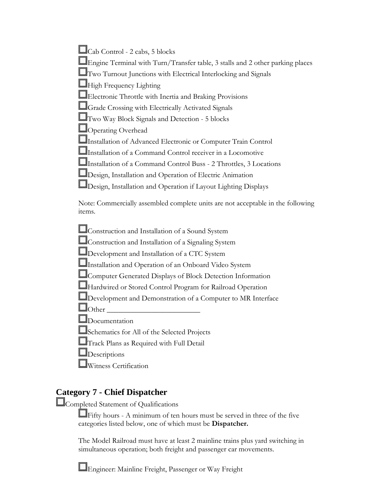| $\Box$ Cab Control - 2 cabs, 5 blocks |  |
|---------------------------------------|--|
|---------------------------------------|--|

Engine Terminal with Turn/Transfer table, 3 stalls and 2 other parking places

**L**Two Turnout Junctions with Electrical Interlocking and Signals

High Frequency Lighting

Electronic Throttle with Inertia and Braking Provisions

Grade Crossing with Electrically Activated Signals

Two Way Block Signals and Detection - 5 blocks

Operating Overhead

Installation of Advanced Electronic or Computer Train Control

Installation of a Command Control receiver in a Locomotive

Installation of a Command Control Buss - 2 Throttles, 3 Locations

Design, Installation and Operation of Electric Animation

Design, Installation and Operation if Layout Lighting Displays

Note: Commercially assembled complete units are not acceptable in the following items.

Construction and Installation of a Sound System

Construction and Installation of a Signaling System

Development and Installation of a CTC System

**Installation and Operation of an Onboard Video System** 

Computer Generated Displays of Block Detection Information

Hardwired or Stored Control Program for Railroad Operation

Development and Demonstration of a Computer to MR Interface

 $\Box$ Other

Documentation

Schematics for All of the Selected Projects

Track Plans as Required with Full Detail

**Descriptions** 

Witness Certification

# **Category 7 - Chief Dispatcher**

Completed Statement of Qualifications

 $\Box$  Fifty hours - A minimum of ten hours must be served in three of the five categories listed below, one of which must be Dispatcher.

The Model Railroad must have at least 2 mainline trains plus yard switching in simultaneous operation; both freight and passenger car movements.

Engineer: Mainline Freight, Passenger or Way Freight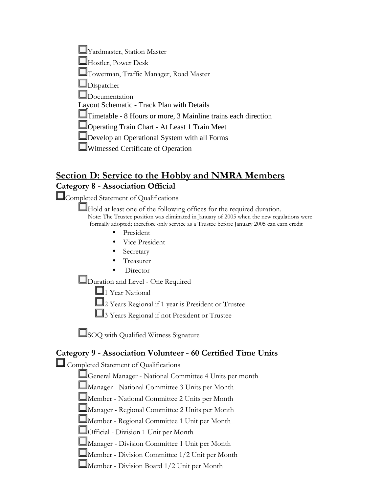Yardmaster, Station Master Hostler, Power Desk  $\mathbb{J}_\text{Towerman, Traffic Manager, Road Master}$ Dispatcher Documentation Layout Schematic - Track Plan with Details Timetable - 8 Hours or more, 3 Mainline trains each direction Operating Train Chart - At Least 1 Train Meet Develop an Operational System with all Forms Witnessed Certificate of Operation

# Section D: Service to the Hobby and NMRA Members Category 8 - Association Official

Completed Statement of Qualifications

Hold at least one of the following offices for the required duration. Note: The Trustee position was eliminated in January of 2005 when the new regulations were formally adopted; therefore only service as a Trustee before January 2005 can earn credit

- **President**
- Vice President
- **Secretary**
- Treasurer
- Director

Duration and Level - One Required

 $\Box$ 1 Year National

2 Years Regional if 1 year is President or Trustee

3 Years Regional if not President or Trustee

SOQ with Qualified Witness Signature

### Category 9 - Association Volunteer - 60 Certified Time Units

Completed Statement of Qualifications

General Manager - National Committee 4 Units per month

Manager - National Committee 3 Units per Month

Member - National Committee 2 Units per Month

Manager - Regional Committee 2 Units per Month

Member - Regional Committee 1 Unit per Month

Official - Division 1 Unit per Month

Manager - Division Committee 1 Unit per Month

Member - Division Committee 1/2 Unit per Month

Member - Division Board 1/2 Unit per Month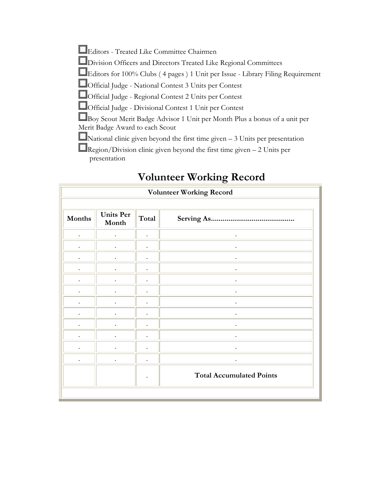Editors - Treated Like Committee Chairmen

Division Officers and Directors Treated Like Regional Committees

Editors for 100% Clubs ( 4 pages ) 1 Unit per Issue - Library Filing Requirement

Official Judge - National Contest 3 Units per Contest

Official Judge - Regional Contest 2 Units per Contest

Official Judge - Divisional Contest 1 Unit per Contest

Boy Scout Merit Badge Advisor 1 Unit per Month Plus a bonus of a unit per Merit Badge Award to each Scout

 $\blacksquare$ National clinic given beyond the first time given – 3 Units per presentation

 $\Box$ Region/Division clinic given beyond the first time given – 2 Units per presentation

|                      |                           |       | <b>Volunteer Working Record</b> |
|----------------------|---------------------------|-------|---------------------------------|
|                      |                           |       |                                 |
| Months               | <b>Units Per</b><br>Month | Total |                                 |
| $\bullet$            |                           |       | $\bullet$                       |
| $\bullet$            |                           |       |                                 |
| $\cdot$              |                           |       |                                 |
| $\cdot$              |                           |       |                                 |
| $\bullet$            |                           |       |                                 |
| $\bullet$            |                           |       |                                 |
|                      |                           |       |                                 |
|                      |                           |       |                                 |
| $\bullet$            |                           |       |                                 |
| $\ddot{\phantom{0}}$ |                           |       |                                 |
|                      |                           |       |                                 |
|                      |                           |       |                                 |
|                      |                           |       | <b>Total Accumulated Points</b> |
|                      |                           |       |                                 |

# Volunteer Working Record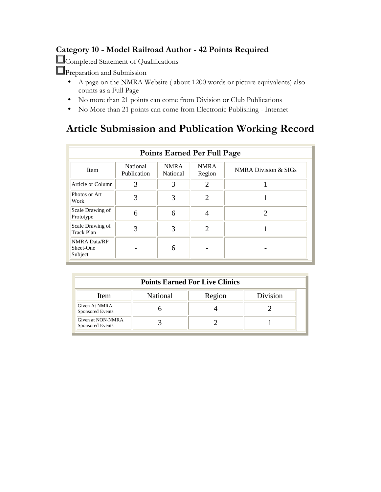# Category 10 - Model Railroad Author - 42 Points Required

Completed Statement of Qualifications

**Preparation and Submission** 

- A page on the NMRA Website ( about 1200 words or picture equivalents) also counts as a Full Page
- No more than 21 points can come from Division or Club Publications
- No More than 21 points can come from Electronic Publishing Internet

# Article Submission and Publication Working Record

|                                       |                                | <b>Points Earned Per Full Page</b> |                       |                                 |
|---------------------------------------|--------------------------------|------------------------------------|-----------------------|---------------------------------|
| Item                                  | <b>National</b><br>Publication | <b>NMRA</b><br>National            | <b>NMRA</b><br>Region | <b>NMRA Division &amp; SIGs</b> |
| Article or Column                     | 3                              | 3                                  | $\overline{2}$        |                                 |
| Photos or Art<br>Work                 | 3                              | 3                                  | $\overline{2}$        |                                 |
| Scale Drawing of<br>Prototype         | 6                              | 6                                  | 4                     | ႒                               |
| Scale Drawing of<br><b>Track Plan</b> | 3                              | 3                                  | $\overline{2}$        |                                 |
| NMRA Data/RP<br>Sheet-One<br>Subject  |                                | 6                                  |                       |                                 |

| <b>Points Earned For Live Clinics</b> |                 |        |          |  |
|---------------------------------------|-----------------|--------|----------|--|
| <b>Item</b>                           | <b>National</b> | Region | Division |  |
| Given At NMRA<br>Sponsored Events     |                 |        |          |  |
| Given at NON-NMRA<br>Sponsored Events |                 |        |          |  |